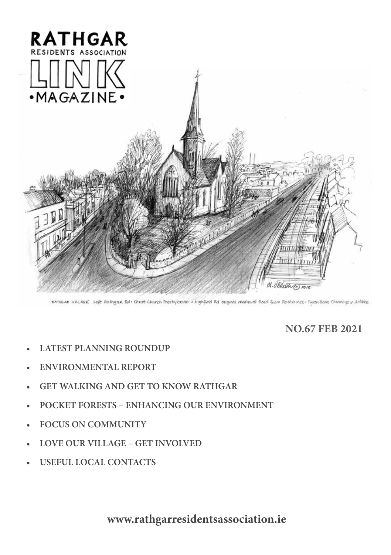

RATHGAR VILLAGE Left Rathgar Rd · Christ Church Presbylerian · Highfield Rd original medieval Read from Rothmines · Figeentione Chinneys in distance

## **NO.67 FEB 2021**

- **• LATEST PLANNING ROUNDUP**
- **• ENVIRONMENTAL REPORT**
- **• GET WALKING AND GET TO KNOW RATHGAR**
- **• POCKET FORESTS ENHANCING OUR ENVIRONMENT**
- **• FOCUS ON COMMUNITY**
- **• LOVE OUR VILLAGE GET INVOLVED**
- **• USEFUL LOCAL CONTACTS**

**www.rathgarresidentsassociation.ie**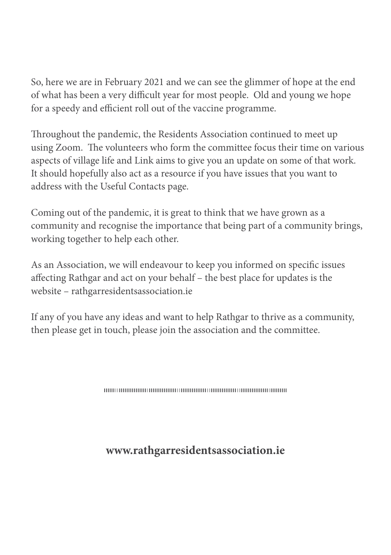So, here we are in February 2021 and we can see the glimmer of hope at the end of what has been a very difficult year for most people. Old and young we hope for a speedy and efficient roll out of the vaccine programme.

Throughout the pandemic, the Residents Association continued to meet up using Zoom. The volunteers who form the committee focus their time on various aspects of village life and Link aims to give you an update on some of that work. It should hopefully also act as a resource if you have issues that you want to address with the Useful Contacts page.

Coming out of the pandemic, it is great to think that we have grown as a community and recognise the importance that being part of a community brings, working together to help each other.

As an Association, we will endeavour to keep you informed on specific issues affecting Rathgar and act on your behalf – the best place for updates is the website – rathgarresidentsassociation.ie

If any of you have any ideas and want to help Rathgar to thrive as a community, then please get in touch, please join the association and the committee.

## **www.rathgarresidentsassociation.ie**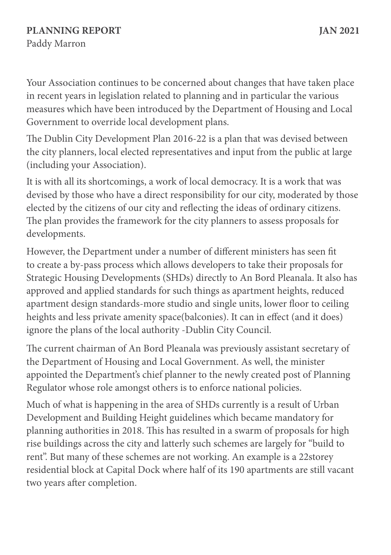### **PLANNING REPORT JAN 2021** Paddy Marron

Your Association continues to be concerned about changes that have taken place in recent years in legislation related to planning and in particular the various measures which have been introduced by the Department of Housing and Local Government to override local development plans.

The Dublin City Development Plan 2016-22 is a plan that was devised between the city planners, local elected representatives and input from the public at large (including your Association).

It is with all its shortcomings, a work of local democracy. It is a work that was devised by those who have a direct responsibility for our city, moderated by those elected by the citizens of our city and reflecting the ideas of ordinary citizens. The plan provides the framework for the city planners to assess proposals for developments.

However, the Department under a number of different ministers has seen fit to create a by-pass process which allows developers to take their proposals for Strategic Housing Developments (SHDs) directly to An Bord Pleanala. It also has approved and applied standards for such things as apartment heights, reduced apartment design standards-more studio and single units, lower floor to ceiling heights and less private amenity space(balconies). It can in effect (and it does) ignore the plans of the local authority -Dublin City Council.

The current chairman of An Bord Pleanala was previously assistant secretary of the Department of Housing and Local Government. As well, the minister appointed the Department's chief planner to the newly created post of Planning Regulator whose role amongst others is to enforce national policies.

Much of what is happening in the area of SHDs currently is a result of Urban Development and Building Height guidelines which became mandatory for planning authorities in 2018. This has resulted in a swarm of proposals for high rise buildings across the city and latterly such schemes are largely for "build to rent". But many of these schemes are not working. An example is a 22storey residential block at Capital Dock where half of its 190 apartments are still vacant two years after completion.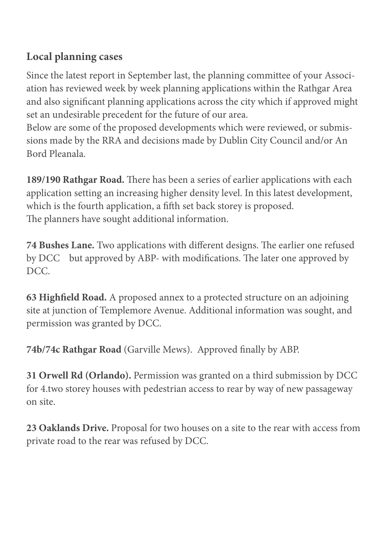## **Local planning cases**

Since the latest report in September last, the planning committee of your Association has reviewed week by week planning applications within the Rathgar Area and also significant planning applications across the city which if approved might set an undesirable precedent for the future of our area.

Below are some of the proposed developments which were reviewed, or submissions made by the RRA and decisions made by Dublin City Council and/or An Bord Pleanala.

**189/190 Rathgar Road.** There has been a series of earlier applications with each application setting an increasing higher density level. In this latest development, which is the fourth application, a fifth set back storey is proposed. The planners have sought additional information.

**74 Bushes Lane.** Two applications with different designs. The earlier one refused by DCC but approved by ABP- with modifications. The later one approved by DCC.

**63 Highfield Road.** A proposed annex to a protected structure on an adjoining site at junction of Templemore Avenue. Additional information was sought, and permission was granted by DCC.

**74b/74c Rathgar Road** (Garville Mews). Approved finally by ABP.

**31 Orwell Rd (Orlando).** Permission was granted on a third submission by DCC for 4.two storey houses with pedestrian access to rear by way of new passageway on site.

**23 Oaklands Drive.** Proposal for two houses on a site to the rear with access from private road to the rear was refused by DCC.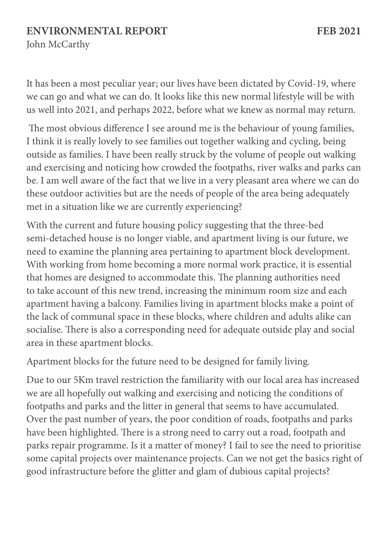### **ENVIRONMENTAL REPORT FEB 2021**

John McCarthy

It has been a most peculiar year; our lives have been dictated by Covid-19, where we can go and what we can do. It looks like this new normal lifestyle will be with us well into 2021, and perhaps 2022, before what we knew as normal may return.

The most obvious difference I see around me is the behaviour of young families, I think it is really lovely to see families out together walking and cycling, being outside as families. I have been really struck by the volume of people out walking and exercising and noticing how crowded the footpaths, river walks and parks can be. I am well aware of the fact that we live in a very pleasant area where we can do these outdoor activities but are the needs of people of the area being adequately met in a situation like we are currently experiencing?

With the current and future housing policy suggesting that the three-bed semi-detached house is no longer viable, and apartment living is our future, we need to examine the planning area pertaining to apartment block development. With working from home becoming a more normal work practice, it is essential that homes are designed to accommodate this. The planning authorities need to take account of this new trend, increasing the minimum room size and each apartment having a balcony. Families living in apartment blocks make a point of the lack of communal space in these blocks, where children and adults alike can socialise. There is also a corresponding need for adequate outside play and social area in these apartment blocks.

Apartment blocks for the future need to be designed for family living.

Due to our 5Km travel restriction the familiarity with our local area has increased we are all hopefully out walking and exercising and noticing the conditions of footpaths and parks and the litter in general that seems to have accumulated. Over the past number of years, the poor condition of roads, footpaths and parks have been highlighted. There is a strong need to carry out a road, footpath and parks repair programme. Is it a matter of money? I fail to see the need to prioritise some capital projects over maintenance projects. Can we not get the basics right of good infrastructure before the glitter and glam of dubious capital projects?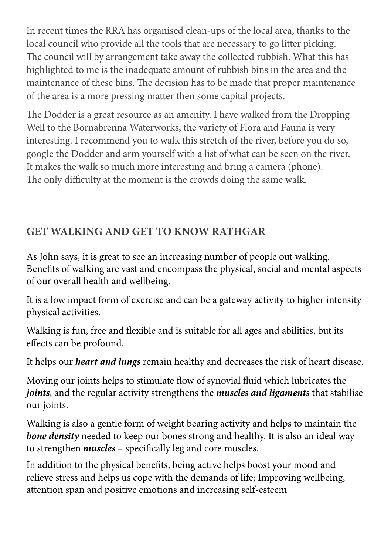In recent times the RRA has organised clean-ups of the local area, thanks to the local council who provide all the tools that are necessary to go litter picking. The council will by arrangement take away the collected rubbish. What this has highlighted to me is the inadequate amount of rubbish bins in the area and the maintenance of these bins. The decision has to be made that proper maintenance of the area is a more pressing matter then some capital projects.

The Dodder is a great resource as an amenity. I have walked from the Dropping Well to the Bornabrenna Waterworks, the variety of Flora and Fauna is very interesting. I recommend you to walk this stretch of the river, before you do so, google the Dodder and arm yourself with a list of what can be seen on the river. It makes the walk so much more interesting and bring a camera (phone). The only difficulty at the moment is the crowds doing the same walk.

# **GET WALKING AND GET TO KNOW RATHGAR**

As John says, it is great to see an increasing number of people out walking. Benefits of walking are vast and encompass the physical, social and mental aspects of our overall health and wellbeing.

It is a low impact form of exercise and can be a gateway activity to higher intensity physical activities.

Walking is fun, free and flexible and is suitable for all ages and abilities, but its effects can be profound.

It helps our *heart and lungs* remain healthy and decreases the risk of heart disease.

Moving our joints helps to stimulate flow of synovial fluid which lubricates the *joints*, and the regular activity strengthens the *muscles and ligaments* that stabilise our joints.

Walking is also a gentle form of weight bearing activity and helps to maintain the **bone density** needed to keep our bones strong and healthy, It is also an ideal way to strengthen *muscles* – specifically leg and core muscles.

In addition to the physical benefits, being active helps boost your mood and relieve stress and helps us cope with the demands of life; Improving wellbeing, attention span and positive emotions and increasing self-esteem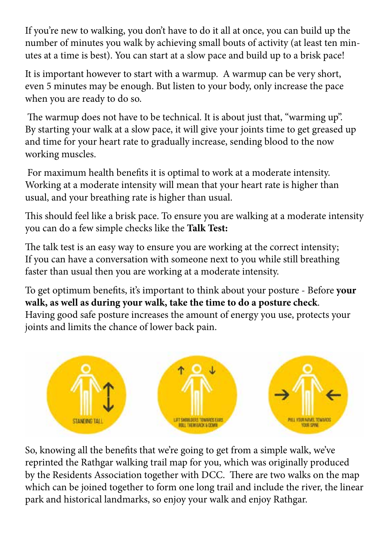If you're new to walking, you don't have to do it all at once, you can build up the number of minutes you walk by achieving small bouts of activity (at least ten minutes at a time is best). You can start at a slow pace and build up to a brisk pace!

It is important however to start with a warmup. A warmup can be very short, even 5 minutes may be enough. But listen to your body, only increase the pace when you are ready to do so.

The warmup does not have to be technical. It is about just that, "warming up". By starting your walk at a slow pace, it will give your joints time to get greased up and time for your heart rate to gradually increase, sending blood to the now working muscles.

For maximum health benefits it is optimal to work at a moderate intensity. Working at a moderate intensity will mean that your heart rate is higher than usual, and your breathing rate is higher than usual.

This should feel like a brisk pace. To ensure you are walking at a moderate intensity you can do a few simple checks like the **Talk Test:**

The talk test is an easy way to ensure you are working at the correct intensity; If you can have a conversation with someone next to you while still breathing faster than usual then you are working at a moderate intensity.

To get optimum benefits, it's important to think about your posture - Before **your walk, as well as during your walk, take the time to do a posture check**. Having good safe posture increases the amount of energy you use, protects your joints and limits the chance of lower back pain.



So, knowing all the benefits that we're going to get from a simple walk, we've reprinted the Rathgar walking trail map for you, which was originally produced by the Residents Association together with DCC. There are two walks on the map which can be joined together to form one long trail and include the river, the linear park and historical landmarks, so enjoy your walk and enjoy Rathgar.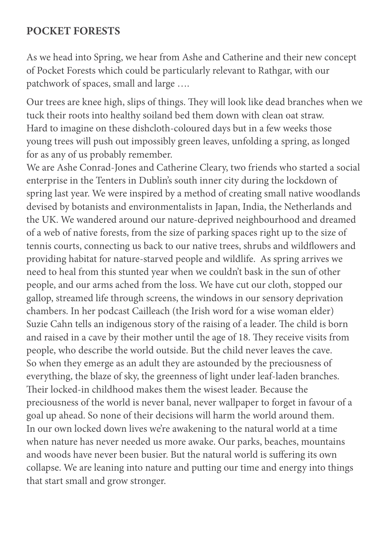#### **POCKET FORESTS**

As we head into Spring, we hear from Ashe and Catherine and their new concept of Pocket Forests which could be particularly relevant to Rathgar, with our patchwork of spaces, small and large ….

Our trees are knee high, slips of things. They will look like dead branches when we tuck their roots into healthy soiland bed them down with clean oat straw. Hard to imagine on these dishcloth-coloured days but in a few weeks those young trees will push out impossibly green leaves, unfolding a spring, as longed for as any of us probably remember.

We are Ashe Conrad-Jones and Catherine Cleary, two friends who started a social enterprise in the Tenters in Dublin's south inner city during the lockdown of spring last year. We were inspired by a method of creating small native woodlands devised by botanists and environmentalists in Japan, India, the Netherlands and the UK. We wandered around our nature-deprived neighbourhood and dreamed of a web of native forests, from the size of parking spaces right up to the size of tennis courts, connecting us back to our native trees, shrubs and wildflowers and providing habitat for nature-starved people and wildlife. As spring arrives we need to heal from this stunted year when we couldn't bask in the sun of other people, and our arms ached from the loss. We have cut our cloth, stopped our gallop, streamed life through screens, the windows in our sensory deprivation chambers. In her podcast Cailleach (the Irish word for a wise woman elder) Suzie Cahn tells an indigenous story of the raising of a leader. The child is born and raised in a cave by their mother until the age of 18. They receive visits from people, who describe the world outside. But the child never leaves the cave. So when they emerge as an adult they are astounded by the preciousness of everything, the blaze of sky, the greenness of light under leaf-laden branches. Their locked-in childhood makes them the wisest leader. Because the preciousness of the world is never banal, never wallpaper to forget in favour of a goal up ahead. So none of their decisions will harm the world around them. In our own locked down lives we're awakening to the natural world at a time when nature has never needed us more awake. Our parks, beaches, mountains and woods have never been busier. But the natural world is suffering its own collapse. We are leaning into nature and putting our time and energy into things that start small and grow stronger.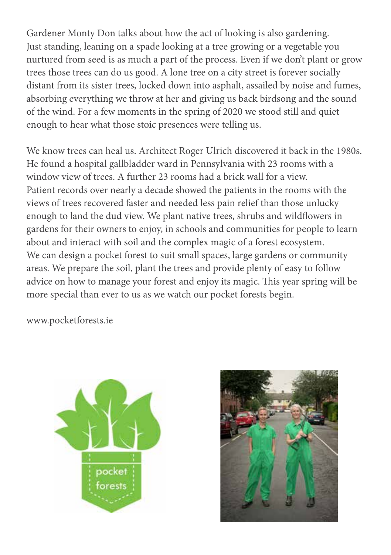Gardener Monty Don talks about how the act of looking is also gardening. Just standing, leaning on a spade looking at a tree growing or a vegetable you nurtured from seed is as much a part of the process. Even if we don't plant or grow trees those trees can do us good. A lone tree on a city street is forever socially distant from its sister trees, locked down into asphalt, assailed by noise and fumes, absorbing everything we throw at her and giving us back birdsong and the sound of the wind. For a few moments in the spring of 2020 we stood still and quiet enough to hear what those stoic presences were telling us.

We know trees can heal us. Architect Roger Ulrich discovered it back in the 1980s. He found a hospital gallbladder ward in Pennsylvania with 23 rooms with a window view of trees. A further 23 rooms had a brick wall for a view. Patient records over nearly a decade showed the patients in the rooms with the views of trees recovered faster and needed less pain relief than those unlucky enough to land the dud view. We plant native trees, shrubs and wildflowers in gardens for their owners to enjoy, in schools and communities for people to learn about and interact with soil and the complex magic of a forest ecosystem. We can design a pocket forest to suit small spaces, large gardens or community areas. We prepare the soil, plant the trees and provide plenty of easy to follow advice on how to manage your forest and enjoy its magic. This year spring will be more special than ever to us as we watch our pocket forests begin.

www.pocketforests.ie



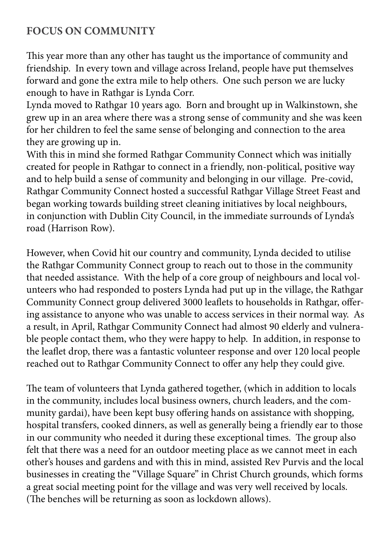## **FOCUS ON COMMUNITY**

This year more than any other has taught us the importance of community and friendship. In every town and village across Ireland, people have put themselves forward and gone the extra mile to help others. One such person we are lucky enough to have in Rathgar is Lynda Corr.

Lynda moved to Rathgar 10 years ago. Born and brought up in Walkinstown, she grew up in an area where there was a strong sense of community and she was keen for her children to feel the same sense of belonging and connection to the area they are growing up in.

With this in mind she formed Rathgar Community Connect which was initially created for people in Rathgar to connect in a friendly, non-political, positive way and to help build a sense of community and belonging in our village. Pre-covid, Rathgar Community Connect hosted a successful Rathgar Village Street Feast and began working towards building street cleaning initiatives by local neighbours, in conjunction with Dublin City Council, in the immediate surrounds of Lynda's road (Harrison Row).

However, when Covid hit our country and community, Lynda decided to utilise the Rathgar Community Connect group to reach out to those in the community that needed assistance. With the help of a core group of neighbours and local volunteers who had responded to posters Lynda had put up in the village, the Rathgar Community Connect group delivered 3000 leaflets to households in Rathgar, offering assistance to anyone who was unable to access services in their normal way. As a result, in April, Rathgar Community Connect had almost 90 elderly and vulnerable people contact them, who they were happy to help. In addition, in response to the leaflet drop, there was a fantastic volunteer response and over 120 local people reached out to Rathgar Community Connect to offer any help they could give.

The team of volunteers that Lynda gathered together, (which in addition to locals in the community, includes local business owners, church leaders, and the community gardai), have been kept busy offering hands on assistance with shopping, hospital transfers, cooked dinners, as well as generally being a friendly ear to those in our community who needed it during these exceptional times. The group also felt that there was a need for an outdoor meeting place as we cannot meet in each other's houses and gardens and with this in mind, assisted Rev Purvis and the local businesses in creating the "Village Square" in Christ Church grounds, which forms a great social meeting point for the village and was very well received by locals. (The benches will be returning as soon as lockdown allows).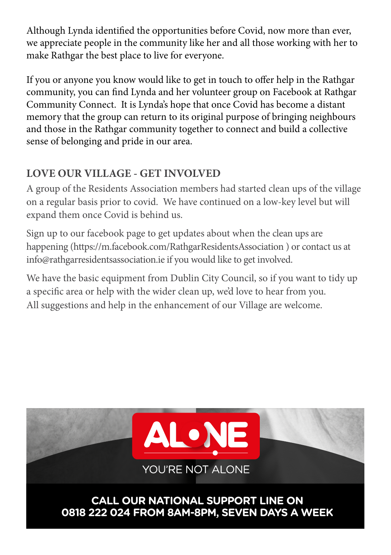Although Lynda identified the opportunities before Covid, now more than ever, Although Lynda identified the opportunities before Covid, now more than ever,<br>we appreciate people in the community like her and all those working with her to<br>make Rathgar the best place to live for everyone make Rathgar the best place to live for everyone. **DO YOU NEED** 

make Katngar the best place to live for everyone.<br>If you or anyone you know would like to get in touch to offer help in the Rathgar community, you can find Lynda and her volunteer group on Facebook at Rathgar community, you can find Lynda and her volumeer group on racebook at Kathg<br>Community Connect. It is Lynda's hope that once Covid has become a distant Community Connect. It is Lyndas hope that once Covid has become a distant memory that the group can return to its original purpose of bringing neighbours and those in the Rathgar community together to connect and build a collective sense of belonging and pride in our area.

# **LOVE OUR VILLAGE - GET INVOLVED**

A group of the Residents Association members had started clean ups of the village on a regular basis prior to covid. We have continued on a low-key level but will expand them once Covid is behind us.

Sign up to our facebook page to get updates about when the clean ups are happening (https://m.facebook.com/RathgarResidentsAssociation ) or contact us at info@rathgarresidentsassociation.ie if you would like to get involved.

We have the basic equipment from Dublin City Council, so if you want to tidy up a specific area or help with the wider clean up, we'd love to hear from you. All suggestions and help in the enhancement of our Village are welcome.